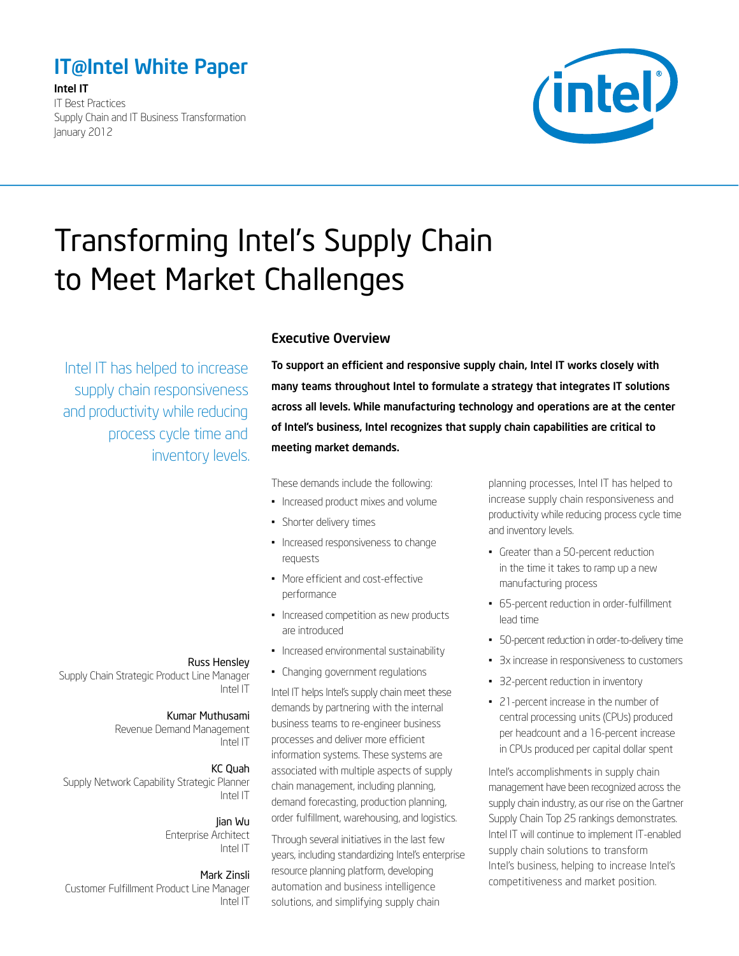# <span id="page-0-0"></span>IT@Intel White Paper

Intel IT IT Best Practices Supply Chain and IT Business Transformation January 2012



# Transforming Intel's Supply Chain to Meet Market Challenges

Intel IT has helped to increase supply chain responsiveness and productivity while reducing process cycle time and inventory levels.

#### Executive Overview

To support an efficient and responsive supply chain, Intel IT works closely with many teams throughout Intel to formulate a strategy that integrates IT solutions across all levels. While manufacturing technology and operations are at the center of Intel's business, Intel recognizes that supply chain capabilities are critical to meeting market demands.

These demands include the following:

- Increased product mixes and volume
- Shorter delivery times
- Increased responsiveness to change requests
- • More efficient and cost-effective performance
- Increased competition as new products are introduced
- • Increased environmental sustainability
- Changing government regulations

Intel IT helps Intel's supply chain meet these demands by partnering with the internal business teams to re-engineer business processes and deliver more efficient information systems. These systems are associated with multiple aspects of supply chain management, including planning, demand forecasting, production planning, order fulfillment, warehousing, and logistics.

Through several initiatives in the last few years, including standardizing Intel's enterprise resource planning platform, developing automation and business intelligence solutions, and simplifying supply chain

planning processes, Intel IT has helped to increase supply chain responsiveness and productivity while reducing process cycle time and inventory levels.

- • Greater than a 50-percent reduction in the time it takes to ramp up a new manufacturing process
- • 65-percent reduction in order-fulfillment lead time
- • 50-percent reduction in order-to-delivery time
- 3x increase in responsiveness to customers
- 32-percent reduction in inventory
- • 21-percent increase in the number of central processing units (CPUs) produced per headcount and a 16-percent increase in CPUs produced per capital dollar spent

Intel's accomplishments in supply chain management have been recognized across the supply chain industry, as our rise on the Gartner Supply Chain Top 25 rankings demonstrates. Intel IT will continue to implement IT-enabled supply chain solutions to transform Intel's business, helping to increase Intel's competitiveness and market position.

#### Russ Hensley

Supply Chain Strategic Product Line Manager Intel IT

# Kumar Muthusami

Revenue Demand Management Intel IT

#### KC Quah

Supply Network Capability Strategic Planner Intel IT

Jian Wu

Enterprise Architect Intel IT

#### Mark Zinsli

Customer Fulfillment Product Line Manager Intel IT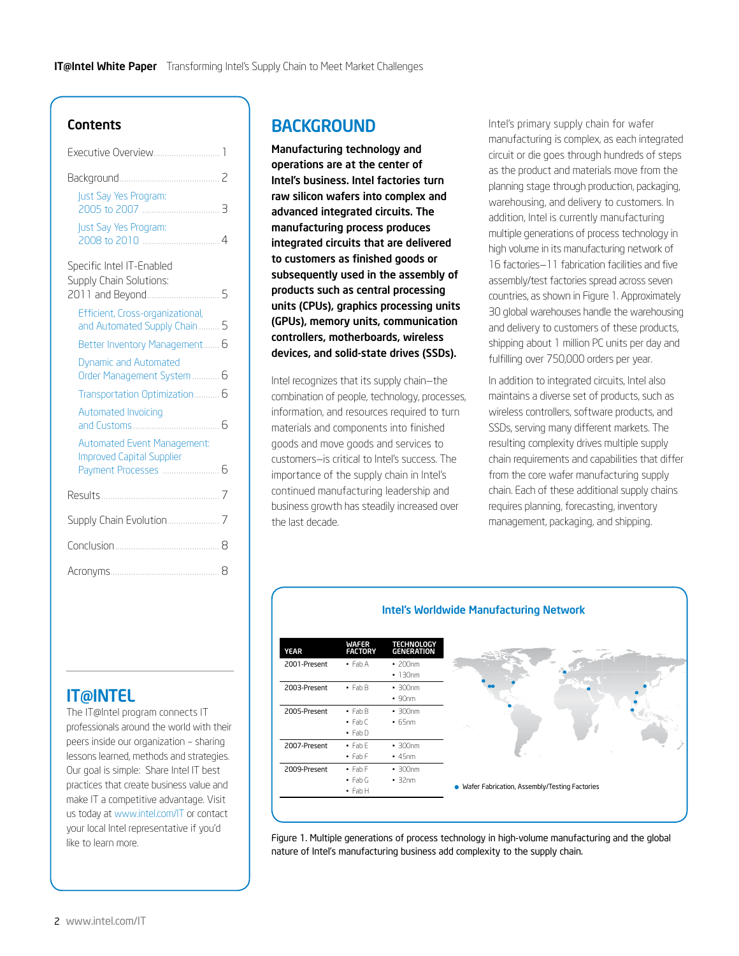#### **Contents**

| Just Say Yes Program:<br>3                                             |  |  |
|------------------------------------------------------------------------|--|--|
| Just Say Yes Program:<br>4                                             |  |  |
| Specific Intel IT-Enabled<br>Supply Chain Solutions:                   |  |  |
| . 5<br>2011 and Beyond                                                 |  |  |
| Efficient, Cross-organizational,<br>and Automated Supply Chain<br>5    |  |  |
| Better Inventory Management<br>6                                       |  |  |
| <b>Dynamic and Automated</b><br>Order Management System  6             |  |  |
| Transportation Optimization 6                                          |  |  |
| <b>Automated Invoicing</b><br>Б                                        |  |  |
| <b>Automated Event Management:</b><br><b>Improved Capital Supplier</b> |  |  |
| Payment Processes<br>Б                                                 |  |  |
|                                                                        |  |  |
|                                                                        |  |  |
| 8                                                                      |  |  |
| 8                                                                      |  |  |

### **IT@INTEL**

The IT@Intel program connects IT professionals around the world with their peers inside our organization – sharing lessons learned, methods and strategies. Our goal is simple: Share Intel IT best practices that create business value and make IT a competitive advantage. Visit us today at [www.intel.com/IT](http://www.intel.com/IT) or contact your local Intel representative if you'd like to learn more.

# **BACKGROUND**

Manufacturing technology and operations are at the center of Intel's business. Intel factories turn raw silicon wafers into complex and advanced integrated circuits. The manufacturing process produces integrated circuits that are delivered to customers as finished goods or subsequently used in the assembly of products such as central processing units (CPUs), graphics processing units (GPUs), memory units, communication controllers, motherboards, wireless devices, and solid-state drives (SSDs).

Intel recognizes that its supply chain—the combination of people, technology, processes, information, and resources required to turn materials and components into finished goods and move goods and services to [customer](http://en.wikipedia.org/wiki/Customer)s—is critical to Intel's success. The importance of the supply chain in Intel's continued manufacturing leadership and business growth has steadily increased over the last decade.

Intel's primary supply chain for wafer manufacturing is complex, as each integrated circuit or die goes through hundreds of steps as the product and materials move from the planning stage through production, packaging, warehousing, and delivery to customers. In addition, Intel is currently manufacturing multiple generations of process technology in high volume in its manufacturing network of 16 factories—11 fabrication facilities and five assembly/test factories spread across seven countries, as shown in Figure 1. Approximately 30 global warehouses handle the warehousing and delivery to customers of these products, shipping about 1 million PC units per day and fulfilling over 750,000 orders per year.

In addition to integrated circuits, Intel also maintains a diverse set of products, such as wireless controllers, software products, and SSDs, serving many different markets. The resulting complexity drives multiple supply chain requirements and capabilities that differ from the core wafer manufacturing supply chain. Each of these additional supply chains requires planning, forecasting, inventory management, packaging, and shipping.



Figure 1. Multiple generations of process technology in high-volume manufacturing and the global nature of Intel's manufacturing business add complexity to the supply chain.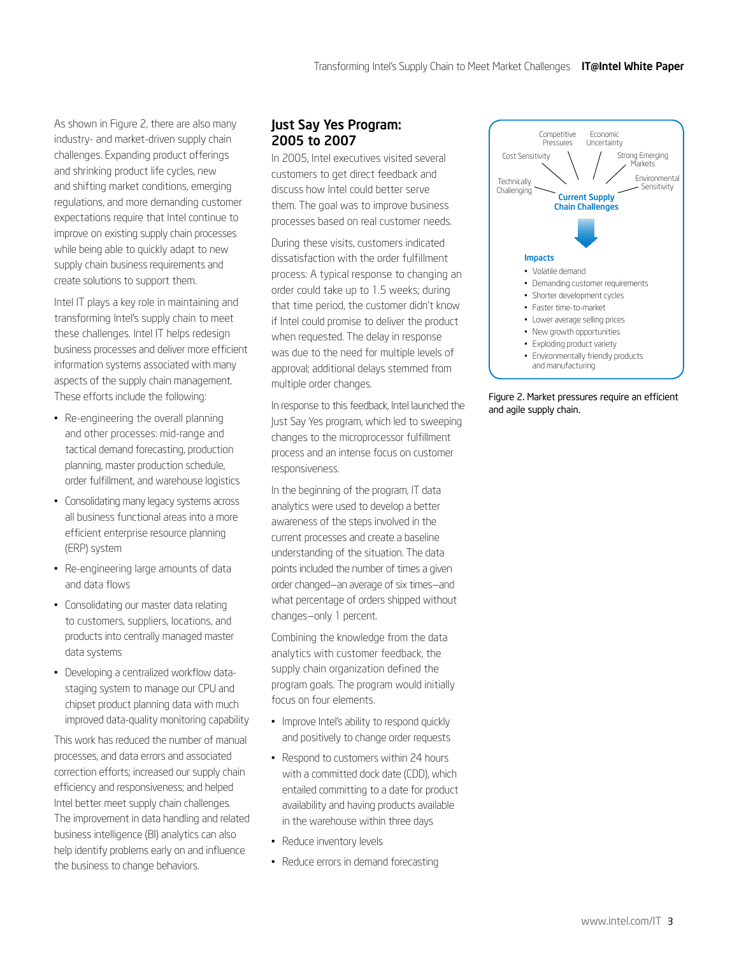<span id="page-2-0"></span>As shown in Figure 2, there are also many industry- and market-driven supply chain challenges. Expanding product offerings and shrinking product life cycles, new and shifting market conditions, emerging regulations, and more demanding customer expectations require that Intel continue to improve on existing supply chain processes while being able to quickly adapt to new supply chain business requirements and create solutions to support them.

Intel IT plays a key role in maintaining and transforming Intel's supply chain to meet these challenges. Intel IT helps redesign business processes and deliver more efficient information systems associated with many aspects of the supply chain management. These efforts include the following:

- • Re-engineering the overall planning and other processes: mid-range and tactical demand forecasting, production planning, master production schedule, order fulfillment, and warehouse logistics
- Consolidating many legacy systems across all business functional areas into a more efficient enterprise resource planning (ERP) system
- Re-engineering large amounts of data and data flows
- Consolidating our master data relating to customers, suppliers, locations, and products into centrally managed master data systems
- Developing a centralized workflow datastaging system to manage our CPU and chipset product planning data with much improved data-quality monitoring capability

This work has reduced the number of manual processes, and data errors and associated correction efforts; increased our supply chain efficiency and responsiveness; and helped Intel better meet supply chain challenges. The improvement in data handling and related business intelligence (BI) analytics can also help identify problems early on and influence the business to change behaviors.

#### Just Say Yes Program: 2005 to 2007

In 2005, Intel executives visited several customers to get direct feedback and discuss how Intel could better serve them. The goal was to improve business processes based on real customer needs.

During these visits, customers indicated dissatisfaction with the order fulfillment process: A typical response to changing an order could take up to 1.5 weeks; during that time period, the customer didn't know if Intel could promise to deliver the product when requested. The delay in response was due to the need for multiple levels of approval; additional delays stemmed from multiple order changes.

In response to this feedback, Intel launched the Just Say Yes program, which led to sweeping changes to the microprocessor fulfillment process and an intense focus on customer responsiveness.

In the beginning of the program, IT data analytics were used to develop a better awareness of the steps involved in the current processes and create a baseline understanding of the situation. The data points included the number of times a given order changed—an average of six times—and what percentage of orders shipped without changes—only 1 percent.

Combining the knowledge from the data analytics with customer feedback, the supply chain organization defined the program goals. The program would initially focus on four elements.

- Improve Intel's ability to respond quickly and positively to change order requests
- Respond to customers within 24 hours with a committed dock date (CDD), which entailed committing to a date for product availability and having products available in the warehouse within three days
- Reduce inventory levels
- Reduce errors in demand forecasting



Figure 2. Market pressures require an efficient and agile supply chain.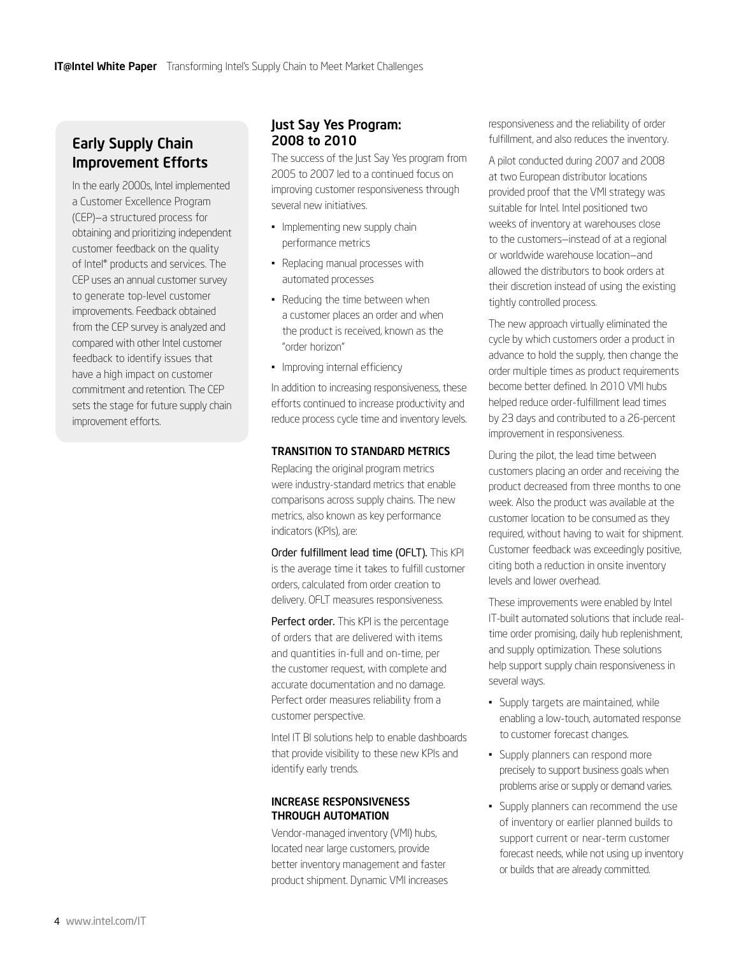# <span id="page-3-0"></span>Early Supply Chain Improvement Efforts

In the early 2000s, Intel implemented a Customer Excellence Program (CEP)—a structured process for obtaining and prioritizing independent customer feedback on the quality of Intel® products and services. The CEP uses an annual customer survey to generate top-level customer improvements. Feedback obtained from the CEP survey is analyzed and compared with other Intel customer feedback to identify issues that have a high impact on customer commitment and retention. The CEP sets the stage for future supply chain improvement efforts.

#### Just Say Yes Program: 2008 to 2010

The success of the Just Say Yes program from 2005 to 2007 led to a continued focus on improving customer responsiveness through several new initiatives.

- Implementing new supply chain performance metrics
- • Replacing manual processes with automated processes
- Reducing the time between when a customer places an order and when the product is received, known as the "order horizon"
- Improving internal efficiency

In addition to increasing responsiveness, these efforts continued to increase productivity and reduce process cycle time and inventory levels.

#### Transition to standard metrics

Replacing the original program metrics were industry-standard metrics that enable comparisons across supply chains. The new metrics, also known as key performance indicators (KPIs), are:

Order fulfillment lead time (OFLT). This KPI is the average time it takes to fulfill customer orders, calculated from order creation to delivery. OFLT measures responsiveness.

Perfect order. This KPI is the percentage of orders that are delivered with items and quantities in-full and on-time, per the customer request, with complete and accurate documentation and no damage. Perfect order measures reliability from a customer perspective.

Intel IT BI solutions help to enable dashboards that provide visibility to these new KPIs and identify early trends.

#### Increase responsiveness through Automation

Vendor-managed inventory (VMI) hubs, located near large customers, provide better inventory management and faster product shipment. Dynamic VMI increases responsiveness and the reliability of order fulfillment, and also reduces the inventory.

A pilot conducted during 2007 and 2008 at two European distributor locations provided proof that the VMI strategy was suitable for Intel. Intel positioned two weeks of inventory at warehouses close to the customers—instead of at a regional or worldwide warehouse location—and allowed the distributors to book orders at their discretion instead of using the existing tightly controlled process.

The new approach virtually eliminated the cycle by which customers order a product in advance to hold the supply, then change the order multiple times as product requirements become better defined. In 2010 VMI hubs helped reduce order-fulfillment lead times by 23 days and contributed to a 26-percent improvement in responsiveness.

During the pilot, the lead time between customers placing an order and receiving the product decreased from three months to one week. Also the product was available at the customer location to be consumed as they required, without having to wait for shipment. Customer feedback was exceedingly positive, citing both a reduction in onsite inventory levels and lower overhead.

These improvements were enabled by Intel IT-built automated solutions that include realtime order promising, daily hub replenishment, and supply optimization. These solutions help support supply chain responsiveness in several ways.

- • Supply targets are maintained, while enabling a low-touch, automated response to customer forecast changes.
- Supply planners can respond more precisely to support business goals when problems arise or supply or demand varies.
- Supply planners can recommend the use of inventory or earlier planned builds to support current or near-term customer forecast needs, while not using up inventory or builds that are already committed.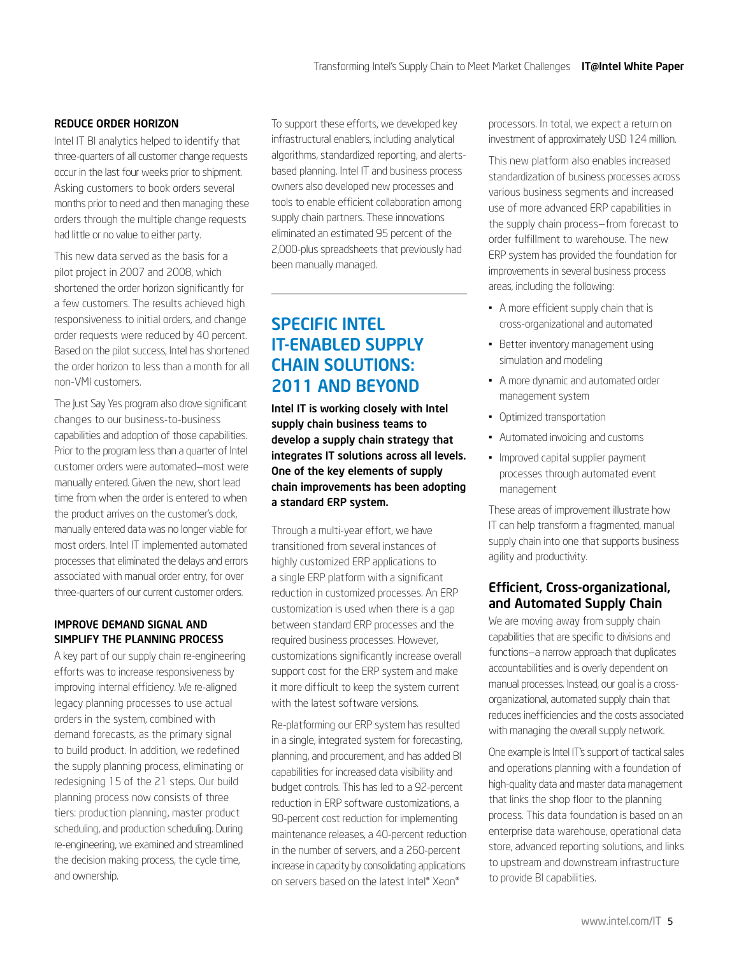#### <span id="page-4-0"></span>Reduce Order Horizon

Intel IT BI analytics helped to identify that three-quarters of all customer change requests occur in the last four weeks prior to shipment. Asking customers to book orders several months prior to need and then managing these orders through the multiple change requests had little or no value to either party.

This new data served as the basis for a pilot project in 2007 and 2008, which shortened the order horizon significantly for a few customers. The results achieved high responsiveness to initial orders, and change order requests were reduced by 40 percent. Based on the pilot success, Intel has shortened the order horizon to less than a month for all non-VMI customers.

The Just Say Yes program also drove significant changes to our business-to-business capabilities and adoption of those capabilities. Prior to the program less than a quarter of Intel customer orders were automated—most were manually entered. Given the new, short lead time from when the order is entered to when the product arrives on the customer's dock, manually entered data was no longer viable for most orders. Intel IT implemented automated processes that eliminated the delays and errors associated with manual order entry, for over three-quarters of our current customer orders.

#### Improve Demand signal and Simplify the planning process

A key part of our supply chain re-engineering efforts was to increase responsiveness by improving internal efficiency. We re-aligned legacy planning processes to use actual orders in the system, combined with demand forecasts, as the primary signal to build product. In addition, we redefined the supply planning process, eliminating or redesigning 15 of the 21 steps. Our build planning process now consists of three tiers: production planning, master product scheduling, and production scheduling. During re-engineering, we examined and streamlined the decision making process, the cycle time, and ownership.

To support these efforts, we developed key infrastructural enablers, including analytical algorithms, standardized reporting, and alertsbased planning. Intel IT and business process owners also developed new processes and tools to enable efficient collaboration among supply chain partners. These innovations eliminated an estimated 95 percent of the 2,000-plus spreadsheets that previously had been manually managed.

# Specific Intel IT-Enabled Supply **CHAIN SOLUTIONS:** 2011 and Beyond

Intel IT is working closely with Intel supply chain business teams to develop a supply chain strategy that integrates IT solutions across all levels. One of the key elements of supply chain improvements has been adopting a standard ERP system.

Through a multi-year effort, we have transitioned from several instances of highly customized ERP applications to a single ERP platform with a significant reduction in customized processes. An ERP customization is used when there is a gap between standard ERP processes and the required business processes. However, customizations significantly increase overall support cost for the ERP system and make it more difficult to keep the system current with the latest software versions.

Re-platforming our ERP system has resulted in a single, integrated system for forecasting, planning, and procurement, and has added BI capabilities for increased data visibility and budget controls. This has led to a 92-percent reduction in ERP software customizations, a 90-percent cost reduction for implementing maintenance releases, a 40-percent reduction in the number of servers, and a 260-percent increase in capacity by consolidating applications on servers based on the latest Intel® Xeon®

processors. In total, we expect a return on investment of approximately USD 124 million.

This new platform also enables increased standardization of business processes across various business segments and increased use of more advanced ERP capabilities in the supply chain process—from forecast to order fulfillment to warehouse. The new ERP system has provided the foundation for improvements in several business process areas, including the following:

- • A more efficient supply chain that is cross-organizational and automated
- Better inventory management using simulation and modeling
- • A more dynamic and automated order management system
- • Optimized transportation
- • Automated invoicing and customs
- Improved capital supplier payment processes through automated event management

These areas of improvement illustrate how IT can help transform a fragmented, manual supply chain into one that supports business agility and productivity.

#### Efficient, Cross-organizational, and Automated Supply Chain

We are moving away from supply chain capabilities that are specific to divisions and functions—a narrow approach that duplicates accountabilities and is overly dependent on manual processes. Instead, our goal is a crossorganizational, automated supply chain that reduces inefficiencies and the costs associated with managing the overall supply network.

One example is Intel IT's support of tactical sales and operations planning with a foundation of high-quality data and master data management that links the shop floor to the planning process. This data foundation is based on an enterprise data warehouse, operational data store, advanced reporting solutions, and links to upstream and downstream infrastructure to provide BI capabilities.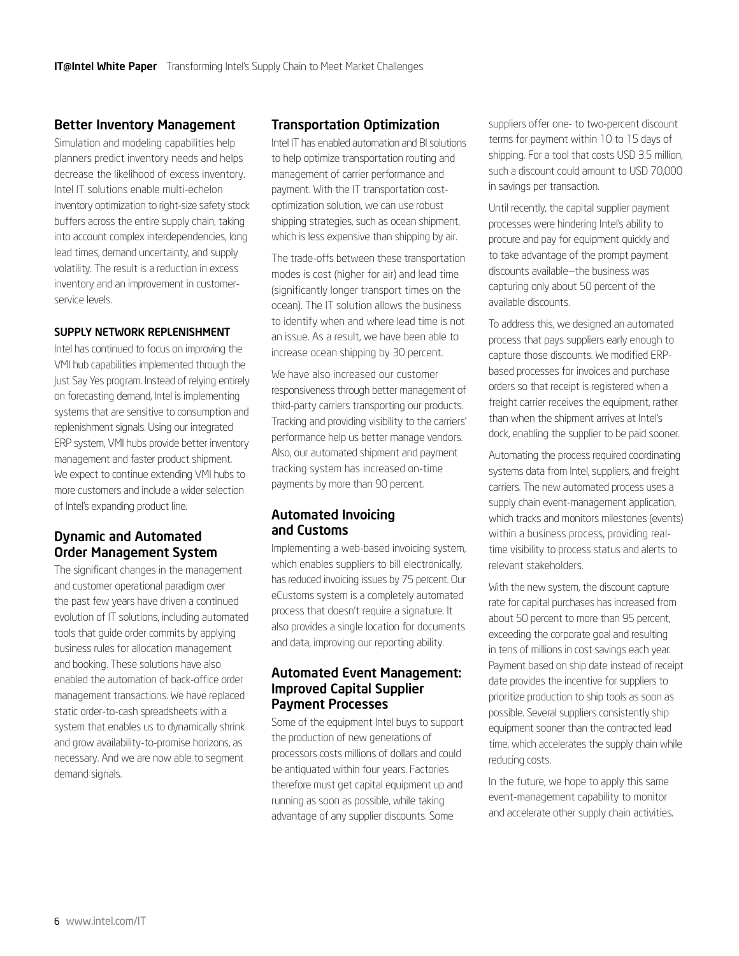#### <span id="page-5-0"></span>Better Inventory Management

Simulation and modeling capabilities help planners predict inventory needs and helps decrease the likelihood of excess inventory. Intel IT solutions enable multi-echelon inventory optimization to right-size safety stock buffers across the entire supply chain, taking into account complex interdependencies, long lead times, demand uncertainty, and supply volatility. The result is a reduction in excess inventory and an improvement in customerservice levels.

#### Supply Network Replenishment

Intel has continued to focus on improving the VMI hub capabilities implemented through the Just Say Yes program. Instead of relying entirely on forecasting demand, Intel is implementing systems that are sensitive to consumption and replenishment signals. Using our integrated ERP system, VMI hubs provide better inventory management and faster product shipment. We expect to continue extending VMI hubs to more customers and include a wider selection of Intel's expanding product line.

#### Dynamic and Automated Order Management System

The significant changes in the management and customer operational paradigm over the past few years have driven a continued evolution of IT solutions, including automated tools that guide order commits by applying business rules for allocation management and booking. These solutions have also enabled the automation of back-office order management transactions. We have replaced static order-to-cash spreadsheets with a system that enables us to dynamically shrink and grow availability-to-promise horizons, as necessary. And we are now able to segment demand signals.

#### Transportation Optimization

Intel IT has enabled automation and BI solutions to help optimize transportation routing and management of carrier performance and payment. With the IT transportation costoptimization solution, we can use robust shipping strategies, such as ocean shipment, which is less expensive than shipping by air.

The trade-offs between these transportation modes is cost (higher for air) and lead time (significantly longer transport times on the ocean). The IT solution allows the business to identify when and where lead time is not an issue. As a result, we have been able to increase ocean shipping by 30 percent.

We have also increased our customer responsiveness through better management of third-party carriers transporting our products. Tracking and providing visibility to the carriers' performance help us better manage vendors. Also, our automated shipment and payment tracking system has increased on-time payments by more than 90 percent.

#### Automated Invoicing and Customs

Implementing a web-based invoicing system, which enables suppliers to bill electronically, has reduced invoicing issues by 75 percent. Our eCustoms system is a completely automated process that doesn't require a signature. It also provides a single location for documents and data, improving our reporting ability.

#### Automated Event Management: Improved Capital Supplier Payment Processes

Some of the equipment Intel buys to support the production of new generations of processors costs millions of dollars and could be antiquated within four years. Factories therefore must get capital equipment up and running as soon as possible, while taking advantage of any supplier discounts. Some

suppliers offer one- to two-percent discount terms for payment within 10 to 15 days of shipping. For a tool that costs USD 3.5 million, such a discount could amount to USD 70,000 in savings per transaction.

Until recently, the capital supplier payment processes were hindering Intel's ability to procure and pay for equipment quickly and to take advantage of the prompt payment discounts available—the business was capturing only about 50 percent of the available discounts.

To address this, we designed an automated process that pays suppliers early enough to capture those discounts. We modified ERPbased processes for invoices and purchase orders so that receipt is registered when a freight carrier receives the equipment, rather than when the shipment arrives at Intel's dock, enabling the supplier to be paid sooner.

Automating the process required coordinating systems data from Intel, suppliers, and freight carriers. The new automated process uses a supply chain event-management application, which tracks and monitors milestones (events) within a business process, providing realtime visibility to process status and alerts to relevant stakeholders.

With the new system, the discount capture rate for capital purchases has increased from about 50 percent to more than 95 percent, exceeding the corporate goal and resulting in tens of millions in cost savings each year. Payment based on ship date instead of receipt date provides the incentive for suppliers to prioritize production to ship tools as soon as possible. Several suppliers consistently ship equipment sooner than the contracted lead time, which accelerates the supply chain while reducing costs.

In the future, we hope to apply this same event-management capability to monitor and accelerate other supply chain activities.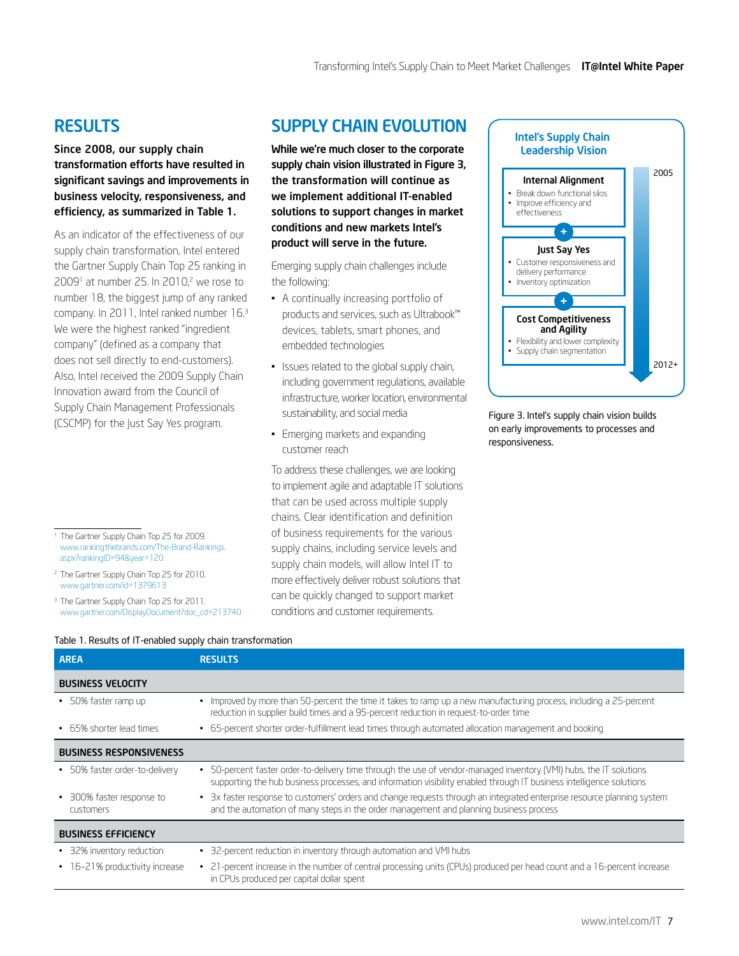# <span id="page-6-0"></span>**RESULTS**

#### Since 2008, our supply chain transformation efforts have resulted in significant savings and improvements in business velocity, responsiveness, and efficiency, as summarized in Table 1.

As an indicator of the effectiveness of our supply chain transformation, Intel entered the Gartner Supply Chain Top 25 ranking in  $2009<sup>1</sup>$  at number 25. In 2010,<sup>2</sup> we rose to number 18, the biggest jump of any ranked company. In 2011, Intel ranked number 16.3 We were the highest ranked "ingredient company" (defined as a company that does not sell directly to end-customers). Also, Intel received the 2009 Supply Chain Innovation award from the Council of Supply Chain Management Professionals (CSCMP) for the Just Say Yes program.

- <sup>1</sup> The Gartner Supply Chain Top 25 for 2009. [www.rankingthebrands.com/The-Brand-Rankings.](http://www.rankingthebrands.com/The-Brand-Rankings.aspx?rankingID=94&year=120) [aspx?rankingID=94&year=120](http://www.rankingthebrands.com/The-Brand-Rankings.aspx?rankingID=94&year=120)
- <sup>2</sup> The Gartner Supply Chain Top 25 for 2010. [www.gartner.com/id=1379613](http://www.gartner.com/id=1379613)
- <sup>3</sup> The Gartner Supply Chain Top 25 for 2011. [www.gartner.com/DisplayDocument?doc\\_cd=213740](http://www.gartner.com/DisplayDocument?doc_cd=213740)

# Supply Chain Evolution

While we're much closer to the corporate supply chain vision illustrated in Figure 3, the transformation will continue as we implement additional IT-enabled solutions to support changes in market conditions and new markets Intel's product will serve in the future.

Emerging supply chain challenges include the following:

- • A continually increasing portfolio of products and services, such as Ultrabook™ devices, tablets, smart phones, and embedded technologies
- Issues related to the global supply chain, including government regulations, available infrastructure, worker location, environmental sustainability, and social media
- Emerging markets and expanding customer reach

To address these challenges, we are looking to implement agile and adaptable IT solutions that can be used across multiple supply chains. Clear identification and definition of business requirements for the various supply chains, including service levels and supply chain models, will allow Intel IT to more effectively deliver robust solutions that can be quickly changed to support market conditions and customer requirements.



Figure 3. Intel's supply chain vision builds on early improvements to processes and responsiveness.

| <b>AREA</b>                                   | <b>RESULTS</b>                                                                                                                                                                                                                              |
|-----------------------------------------------|---------------------------------------------------------------------------------------------------------------------------------------------------------------------------------------------------------------------------------------------|
| <b>BUSINESS VELOCITY</b>                      |                                                                                                                                                                                                                                             |
| • 50% faster ramp up                          | Improved by more than 50-percent the time it takes to ramp up a new manufacturing process, including a 25-percent<br>٠<br>reduction in supplier build times and a 95-percent reduction in request-to-order time                             |
| • 65% shorter lead times                      | • 65-percent shorter order-fulfillment lead times through automated allocation management and booking                                                                                                                                       |
| <b>BUSINESS RESPONSIVENESS</b>                |                                                                                                                                                                                                                                             |
| • 50% faster order-to-delivery                | • 50-percent faster order-to-delivery time through the use of vendor-managed inventory (VMI) hubs, the IT solutions<br>supporting the hub business processes, and information visibility enabled through IT business intelligence solutions |
| • 300% faster response to<br><b>customers</b> | 3x faster response to customers' orders and change requests through an integrated enterprise resource planning system<br>٠<br>and the automation of many steps in the order management and planning business process                        |
| <b>BUSINESS EFFICIENCY</b>                    |                                                                                                                                                                                                                                             |
| • 32% inventory reduction                     | 32-percent reduction in inventory through automation and VMI hubs<br>٠                                                                                                                                                                      |
| • 16-21% productivity increase                | • 21-percent increase in the number of central processing units (CPUs) produced per head count and a 16-percent increase<br>in CPUs produced per capital dollar spent                                                                       |

#### Table 1. Results of IT-enabled supply chain transformation